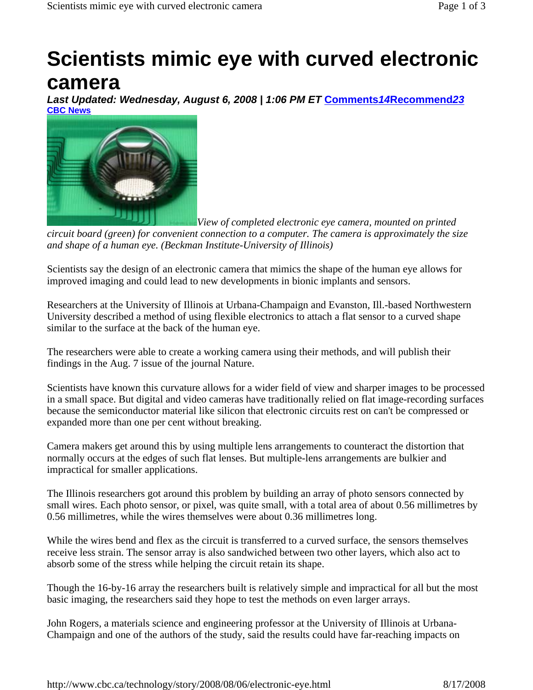## **Scientists mimic eye with curved electronic camera**

*Last Updated: Wednesday, August 6, 2008 | 1:06 PM ET* **Comments***14***Recommend***23* **CBC News** 



*View of completed electronic eye camera, mounted on printed* 

*circuit board (green) for convenient connection to a computer. The camera is approximately the size and shape of a human eye. (Beckman Institute-University of Illinois)*

Scientists say the design of an electronic camera that mimics the shape of the human eye allows for improved imaging and could lead to new developments in bionic implants and sensors.

Researchers at the University of Illinois at Urbana-Champaign and Evanston, Ill.-based Northwestern University described a method of using flexible electronics to attach a flat sensor to a curved shape similar to the surface at the back of the human eye.

The researchers were able to create a working camera using their methods, and will publish their findings in the Aug. 7 issue of the journal Nature.

Scientists have known this curvature allows for a wider field of view and sharper images to be processed in a small space. But digital and video cameras have traditionally relied on flat image-recording surfaces because the semiconductor material like silicon that electronic circuits rest on can't be compressed or expanded more than one per cent without breaking.

Camera makers get around this by using multiple lens arrangements to counteract the distortion that normally occurs at the edges of such flat lenses. But multiple-lens arrangements are bulkier and impractical for smaller applications.

The Illinois researchers got around this problem by building an array of photo sensors connected by small wires. Each photo sensor, or pixel, was quite small, with a total area of about 0.56 millimetres by 0.56 millimetres, while the wires themselves were about 0.36 millimetres long.

While the wires bend and flex as the circuit is transferred to a curved surface, the sensors themselves receive less strain. The sensor array is also sandwiched between two other layers, which also act to absorb some of the stress while helping the circuit retain its shape.

Though the 16-by-16 array the researchers built is relatively simple and impractical for all but the most basic imaging, the researchers said they hope to test the methods on even larger arrays.

John Rogers, a materials science and engineering professor at the University of Illinois at Urbana-Champaign and one of the authors of the study, said the results could have far-reaching impacts on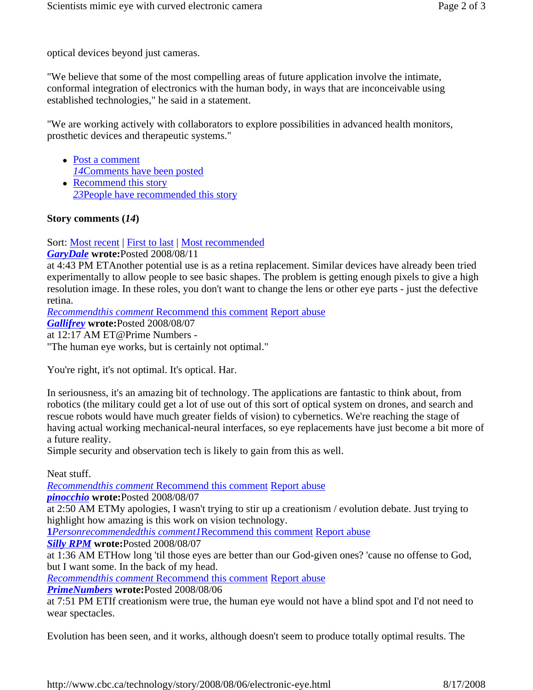optical devices beyond just cameras.

"We believe that some of the most compelling areas of future application involve the intimate, conformal integration of electronics with the human body, in ways that are inconceivable using established technologies," he said in a statement.

"We are working actively with collaborators to explore possibilities in advanced health monitors, prosthetic devices and therapeutic systems."

- Post a comment *14*Comments have been posted
- $\bullet$  Recommend this story *23*People have recommended this story

## **Story comments (***14***)**

Sort: Most recent | First to last | Most recommended

*GaryDale* **wrote:**Posted 2008/08/11

at 4:43 PM ETAnother potential use is as a retina replacement. Similar devices have already been tried experimentally to allow people to see basic shapes. The problem is getting enough pixels to give a high resolution image. In these roles, you don't want to change the lens or other eye parts - just the defective retina.

*Recommendthis comment* Recommend this comment Report abuse

*Gallifrey* **wrote:**Posted 2008/08/07

at 12:17 AM ET@Prime Numbers -

"The human eye works, but is certainly not optimal."

You're right, it's not optimal. It's optical. Har.

In seriousness, it's an amazing bit of technology. The applications are fantastic to think about, from robotics (the military could get a lot of use out of this sort of optical system on drones, and search and rescue robots would have much greater fields of vision) to cybernetics. We're reaching the stage of having actual working mechanical-neural interfaces, so eye replacements have just become a bit more of a future reality.

Simple security and observation tech is likely to gain from this as well.

Neat stuff.

*Recommendthis comment* Recommend this comment Report abuse

*pinocchio* **wrote:**Posted 2008/08/07

at 2:50 AM ETMy apologies, I wasn't trying to stir up a creationism / evolution debate. Just trying to highlight how amazing is this work on vision technology.

**1***Personrecommendedthis comment1*Recommend this comment Report abuse

*Silly RPM* **wrote:**Posted 2008/08/07

at 1:36 AM ETHow long 'til those eyes are better than our God-given ones? 'cause no offense to God, but I want some. In the back of my head.

*Recommendthis comment* Recommend this comment Report abuse

*PrimeNumbers* **wrote:**Posted 2008/08/06

at 7:51 PM ETIf creationism were true, the human eye would not have a blind spot and I'd not need to wear spectacles.

Evolution has been seen, and it works, although doesn't seem to produce totally optimal results. The